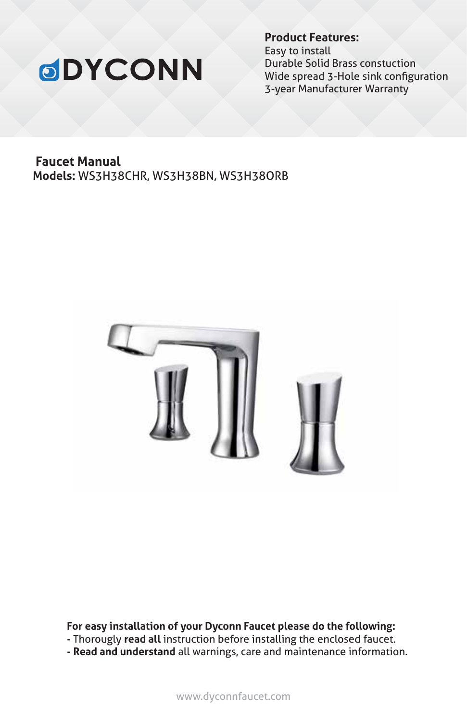# **ODYCONN**

**Product Features:** Easy to install Durable Solid Brass constuction Wide spread 3-Hole sink configuration 3-year Manufacturer Warranty

 **Faucet Manual Models:** WS3H38CHR, WS3H38BN, WS3H38ORB



**For easy installation of your Dyconn Faucet please do the following:**

**-** Thorougly **read all** instruction before installing the enclosed faucet.

**- Read and understand** all warnings, care and maintenance information.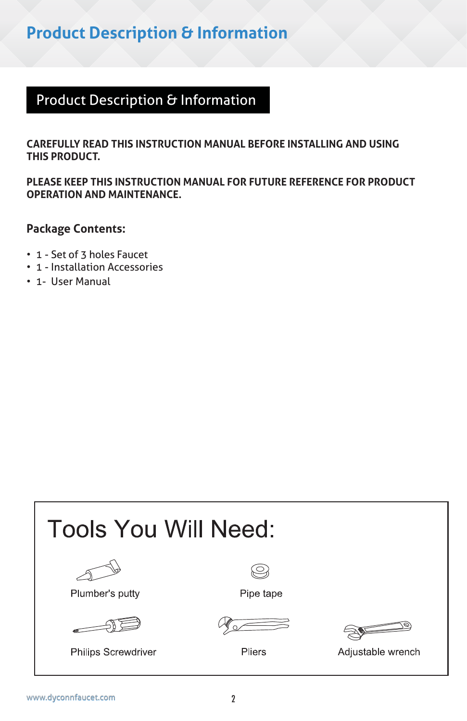**Product Description & Information**

### Product Description & Information

**CAREFULLY READ THIS INSTRUCTION MANUAL BEFORE INSTALLING AND USING THIS PRODUCT.**

**PLEASE KEEP THIS INSTRUCTION MANUAL FOR FUTURE REFERENCE FOR PRODUCT OPERATION AND MAINTENANCE.**

#### **Package Contents:**

- 1 Set of 3 holes Faucet
- 1 Installation Accessories
- 1- User Manual



www.dyconnfaucet.com 2 www.dyconnfaucet.com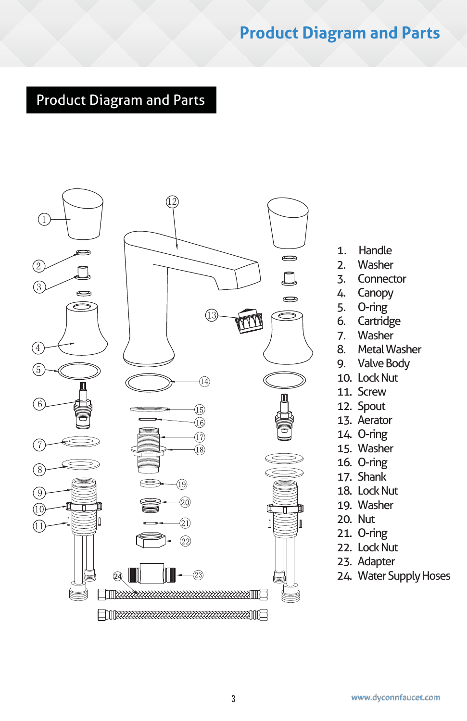### **Product Diagram and Parts**

### **Product Diagram and Parts**



- Handle  $1<sup>1</sup>$
- $2<sup>1</sup>$ Washer
- Connector 3.
- Canopy 4.
- O-ring 5.
- 6. Cartridge
- 7. Washer
- 8. **Metal Washer**
- 9. Valve Body
- 10. Lock Nut
- 11. Screw
- 12. Spout
- 13. Aerator
- 14. O-ring
- 15. Washer
- 16. O-ring
- 17. Shank
- 18. Lock Nut
- 19. Washer
- **20. Nut**
- 21. O-ring
- 22. Lock Nut
- 23. Adapter
- 24. Water Supply Hoses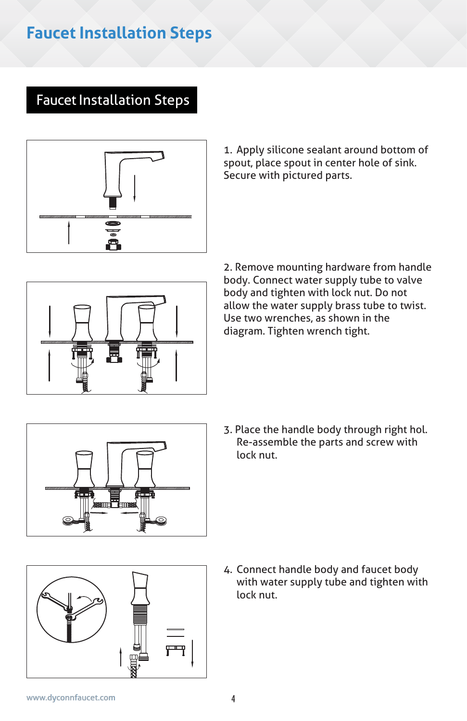### **Faucet Installation Steps**

### Faucet Installation Steps



1. Apply silicone sealant around bottom of spout, place spout in center hole of sink. Secure with pictured parts.



2. Remove mounting hardware from handle body. Connect water supply tube to valve body and tighten with lock nut. Do not allow the water supply brass tube to twist. Use two wrenches, as shown in the diagram. Tighten wrench tight.



3. Place the handle body through right hol. Re-assemble the parts and screw with lock nut.



4. Connect handle body and faucet body with water supply tube and tighten with lock nut.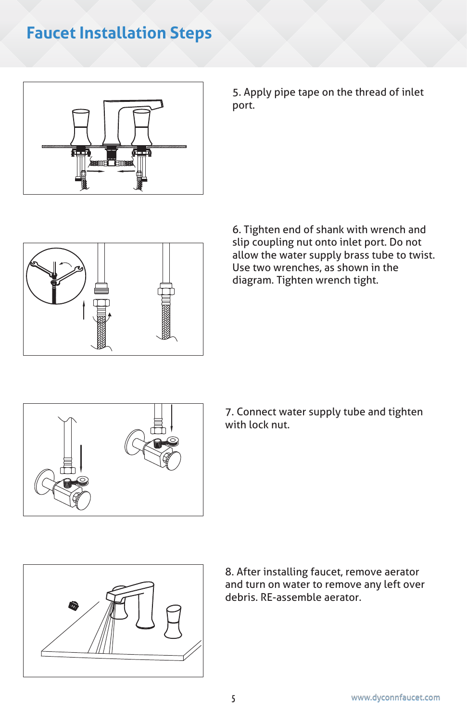### **Faucet Installation Steps**



5. Apply pipe tape on the thread of inlet port.



6. Tighten end of shank with wrench and slip coupling nut onto inlet port. Do not allow the water supply brass tube to twist. Use two wrenches, as shown in the diagram. Tighten wrench tight.



7. Connect water supply tube and tighten with lock nut.



8. After installing faucet, remove aerator and turn on water to remove any left over debris. RE-assemble aerator.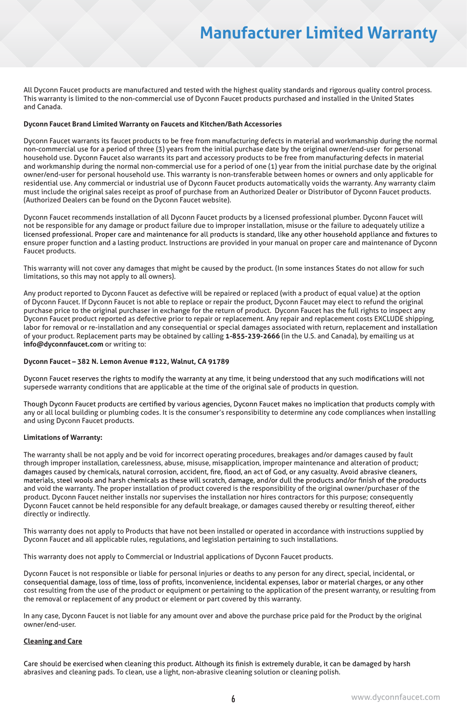## **Manufacturer Limited Warranty**

All Dyconn Faucet products are manufactured and tested with the highest quality standards and rigorous quality control process. This warranty is limited to the non-commercial use of Dyconn Faucet products purchased and installed in the United States and Canada.

#### **Dyconn Faucet Brand Limited Warranty on Faucets and Kitchen/Bath Accessories**

Dyconn Faucet warrants its faucet products to be free from manufacturing defects in material and workmanship during the normal non-commercial use for a period of three (3) years from the initial purchase date by the original owner/end-user for personal household use. Dyconn Faucet also warrants its part and accessory products to be free from manufacturing defects in material and workmanship during the normal non-commercial use for a period of one (1) year from the initial purchase date by the original owner/end-user for personal household use. This warranty is non-transferable between homes or owners and only applicable for residential use. Any commercial or industrial use of Dyconn Faucet products automatically voids the warranty. Any warranty claim must include the original sales receipt as proof of purchase from an Authorized Dealer or Distributor of Dyconn Faucet products. (Authorized Dealers can be found on the Dyconn Faucet website).

Dyconn Faucet recommends installation of all Dyconn Faucet products by a licensed professional plumber. Dyconn Faucet will not be responsible for any damage or product failure due to improper installation, misuse or the failure to adequately utilize a licensed professional. Proper care and maintenance for all products is standard, like any other household appliance and fixtures to ensure proper function and a lasting product. Instructions are provided in your manual on proper care and maintenance of Dyconn Faucet products.

This warranty will not cover any damages that might be caused by the product. (In some instances States do not allow for such limitations, so this may not apply to all owners).

Any product reported to Dyconn Faucet as defective will be repaired or replaced (with a product of equal value) at the option of Dyconn Faucet. If Dyconn Faucet is not able to replace or repair the product, Dyconn Faucet may elect to refund the original purchase price to the original purchaser in exchange for the return of product. Dyconn Faucet has the full rights to inspect any Dyconn Faucet product reported as defective prior to repair or replacement. Any repair and replacement costs EXCLUDE shipping, labor for removal or re-installation and any consequential or special damages associated with return, replacement and installation of your product. Replacement parts may be obtained by calling **1-855-239-2666** (in the U.S. and Canada), by emailing us at **info@dyconnfaucet.com** or writing to:

#### **Dyconn Faucet – 382 N. Lemon Avenue #122, Walnut, CA 91789**

Dyconn Faucet reserves the rights to modify the warranty at any time, it being understood that any such modifications will not supersede warranty conditions that are applicable at the time of the original sale of products in question.

Though Dyconn Faucet products are certified by various agencies, Dyconn Faucet makes no implication that products comply with any or all local building or plumbing codes. It is the consumer's responsibility to determine any code compliances when installing and using Dyconn Faucet products.

#### **Limitations of Warranty:**

The warranty shall be not apply and be void for incorrect operating procedures, breakages and/or damages caused by fault through improper installation, carelessness, abuse, misuse, misapplication, improper maintenance and alteration of product;<br>damages caused by chemicals, natural corrosion, accident, fire, flood, an act of God, or any casua materials, steel wools and harsh chemicals as these will scratch, damage, and/or dull the products and/or finish of the products and void the warranty. The proper installation of product covered is the responsibility of the original owner/purchaser of the product. Dyconn Faucet neither installs nor supervises the installation nor hires contractors for this purpose; consequently Dyconn Faucet cannot be held responsible for any default breakage, or damages caused thereby or resulting thereof, either directly or indirectly.

This warranty does not apply to Products that have not been installed or operated in accordance with instructions supplied by Dyconn Faucet and all applicable rules, regulations, and legislation pertaining to such installations.

This warranty does not apply to Commercial or Industrial applications of Dyconn Faucet products.

Dyconn Faucet is not responsible or liable for personal injuries or deaths to any person for any direct, special, incidental, or<br>consequential damage, loss of time, loss of profits, inconvenience, incidental expenses, labo cost resulting from the use of the product or equipment or pertaining to the application of the present warranty, or resulting from the removal or replacement of any product or element or part covered by this warranty.

In any case, Dyconn Faucet is not liable for any amount over and above the purchase price paid for the Product by the original owner/end-user.

#### **Cleaning and Care**

Care should be exercised when cleaning this product. Although its finish is extremely durable, it can be damaged by harsh abrasives and cleaning pads. To clean, use a light, non-abrasive cleaning solution or cleaning polish.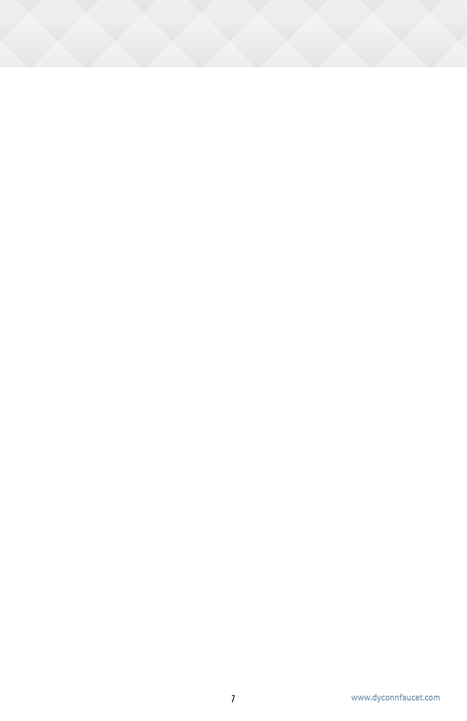